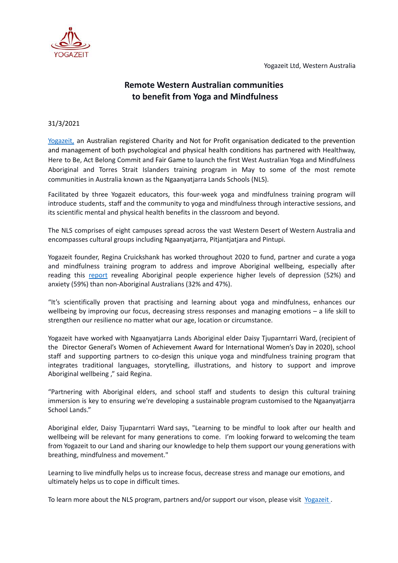Yogazeit Ltd, Western Australia



## **Remote Western Australian communities to benefit from Yoga and Mindfulness**

## 31/3/2021

[Yogazeit,](https://www.yogazeit.com.au/) an Australian registered Charity and Not for Profit organisation dedicated to the prevention and management of both psychological and physical health conditions has partnered with Healthway, Here to Be, Act Belong Commit and Fair Game to launch the first West Australian Yoga and Mindfulness Aboriginal and Torres Strait Islanders training program in May to some of the most remote communities in Australia known as the Ngaanyatjarra Lands Schools (NLS).

Facilitated by three Yogazeit educators, this four-week yoga and mindfulness training program will introduce students, staff and the community to yoga and mindfulness through interactive sessions, and its scientific mental and physical health benefits in the classroom and beyond.

The NLS comprises of eight campuses spread across the vast Western Desert of Western Australia and encompasses cultural groups including Ngaanyatjarra, Pitjantjatjara and Pintupi.

Yogazeit founder, Regina Cruickshank has worked throughout 2020 to fund, partner and curate a yoga and mindfulness training program to address and improve Aboriginal wellbeing, especially after reading this [report](https://www.creativespirits.info/aboriginalculture/health/mental-health-and-aboriginal-people) revealing Aboriginal people experience higher levels of depression (52%) and anxiety (59%) than non-Aboriginal Australians (32% and 47%).

"It's scientifically proven that practising and learning about yoga and mindfulness, enhances our wellbeing by improving our focus, decreasing stress responses and managing emotions – a life skill to strengthen our resilience no matter what our age, location or circumstance.

Yogazeit have worked with Ngaanyatjarra Lands Aboriginal elder Daisy Tjuparntarri Ward, (recipient of the Director General's Women of Achievement Award for International Women's Day in 2020), school staff and supporting partners to co-design this unique yoga and mindfulness training program that integrates traditional languages, storytelling, illustrations, and history to support and improve Aboriginal wellbeing ," said Regina.

"Partnering with Aboriginal elders, and school staff and students to design this cultural training immersion is key to ensuring we're developing a sustainable program customised to the Ngaanyatjarra School Lands."

Aboriginal elder, Daisy Tjuparntarri Ward says, "Learning to be mindful to look after our health and wellbeing will be relevant for many generations to come. I'm looking forward to welcoming the team from Yogazeit to our Land and sharing our knowledge to help them support our young generations with breathing, mindfulness and movement."

Learning to live mindfully helps us to increase focus, decrease stress and manage our emotions, and ultimately helps us to cope in difficult times.

To learn more about the NLS program, partners and/or support our vison, please visit [Yogazeit](https://www.yogazeit.com.au/about/projects/ngaanyatjarra-lands-school).